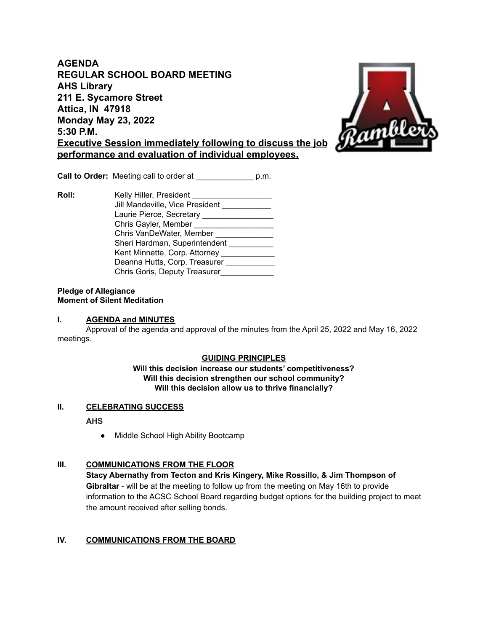**AGENDA REGULAR SCHOOL BOARD MEETING AHS Library 211 E. Sycamore Street Attica, IN 47918 Monday May 23, 2022 5:30 P.M. Executive Session immediately following to discuss the job performance and evaluation of individual employees.**



**Call to Order:** Meeting call to order at  $p.m.$ 

**Roll:** Kelly Hiller, President Jill Mandeville, Vice President \_\_\_\_\_\_\_\_\_\_ Laurie Pierce, Secretary \_\_\_\_\_\_\_\_\_\_\_\_\_\_\_\_\_\_ Chris Gayler, Member \_\_\_\_\_\_\_\_\_\_\_\_\_\_\_\_\_\_ Chris VanDeWater, Member \_\_\_\_\_\_\_\_\_\_\_\_\_\_ Sheri Hardman, Superintendent \_\_\_\_\_\_\_\_\_\_ Kent Minnette, Corp. Attorney \_\_\_\_\_\_\_\_\_\_\_\_\_ Deanna Hutts, Corp. Treasurer \_\_\_\_\_\_\_\_\_\_\_ Chris Goris, Deputy Treasurer\_\_\_\_\_\_\_\_\_\_\_\_\_

#### **Pledge of Allegiance Moment of Silent Meditation**

### **I. AGENDA and MINUTES**

Approval of the agenda and approval of the minutes from the April 25, 2022 and May 16, 2022 meetings.

### **GUIDING PRINCIPLES**

#### **Will this decision increase our students' competitiveness? Will this decision strengthen our school community? Will this decision allow us to thrive financially?**

### **II. CELEBRATING SUCCESS**

**AHS**

● Middle School High Ability Bootcamp

### **III. COMMUNICATIONS FROM THE FLOOR**

**Stacy Abernathy from Tecton and Kris Kingery, Mike Rossillo, & Jim Thompson of Gibraltar** - will be at the meeting to follow up from the meeting on May 16th to provide information to the ACSC School Board regarding budget options for the building project to meet the amount received after selling bonds.

### **IV. COMMUNICATIONS FROM THE BOARD**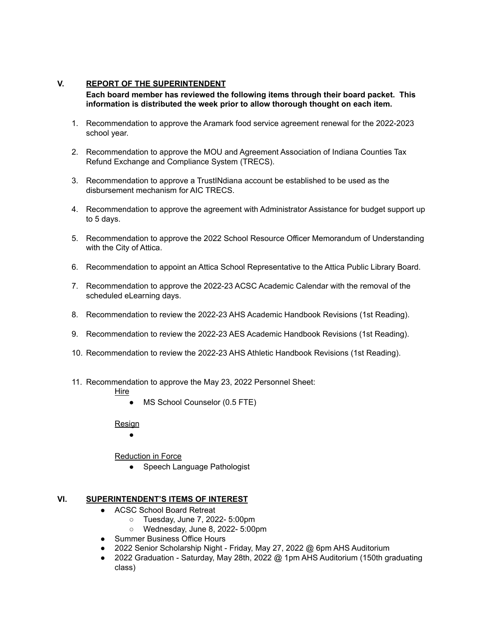## **V. REPORT OF THE SUPERINTENDENT**

**Each board member has reviewed the following items through their board packet. This information is distributed the week prior to allow thorough thought on each item.**

- 1. Recommendation to approve the Aramark food service agreement renewal for the 2022-2023 school year.
- 2. Recommendation to approve the MOU and Agreement Association of Indiana Counties Tax Refund Exchange and Compliance System (TRECS).
- 3. Recommendation to approve a TrustINdiana account be established to be used as the disbursement mechanism for AIC TRECS.
- 4. Recommendation to approve the agreement with Administrator Assistance for budget support up to 5 days.
- 5. Recommendation to approve the 2022 School Resource Officer Memorandum of Understanding with the City of Attica.
- 6. Recommendation to appoint an Attica School Representative to the Attica Public Library Board.
- 7. Recommendation to approve the 2022-23 ACSC Academic Calendar with the removal of the scheduled eLearning days.
- 8. Recommendation to review the 2022-23 AHS Academic Handbook Revisions (1st Reading).
- 9. Recommendation to review the 2022-23 AES Academic Handbook Revisions (1st Reading).
- 10. Recommendation to review the 2022-23 AHS Athletic Handbook Revisions (1st Reading).
- 11. Recommendation to approve the May 23, 2022 Personnel Sheet:
	- Hire
		- MS School Counselor (0.5 FTE)

**Resign** 

 $\bullet$ 

**Reduction in Force** 

• Speech Language Pathologist

### **VI. SUPERINTENDENT'S ITEMS OF INTEREST**

- ACSC School Board Retreat
	- Tuesday, June 7, 2022- 5:00pm
	- Wednesday, June 8, 2022- 5:00pm
- Summer Business Office Hours
- 2022 Senior Scholarship Night Friday, May 27, 2022 @ 6pm AHS Auditorium
- 2022 Graduation Saturday, May 28th, 2022 @ 1pm AHS Auditorium (150th graduating class)